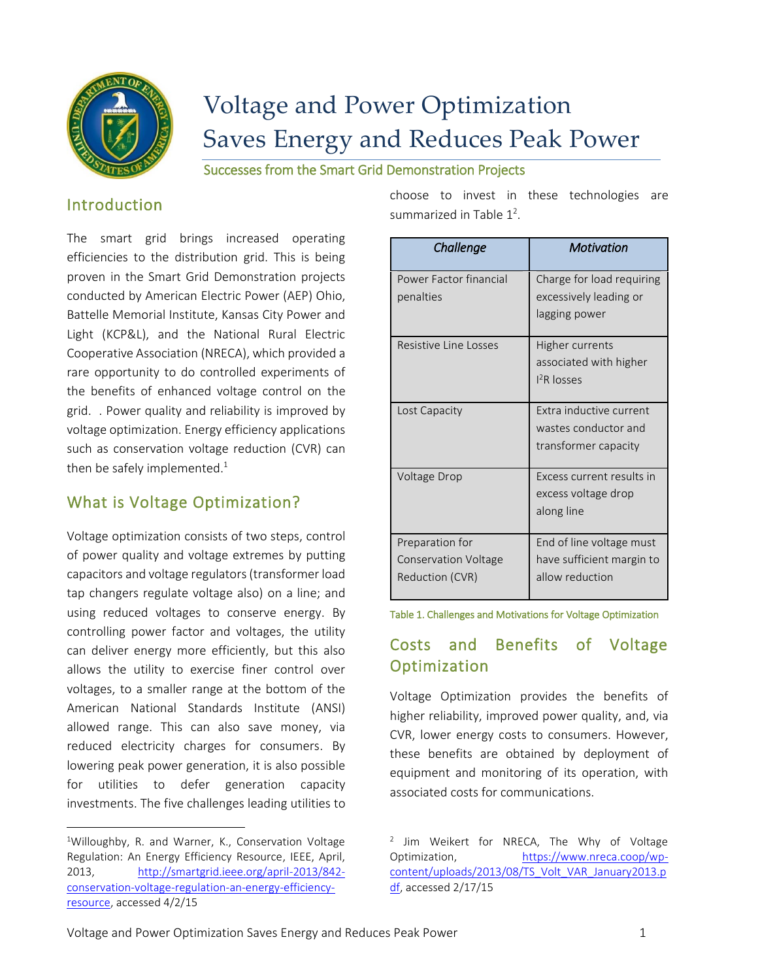

# Voltage and Power Optimization Saves Energy and Reduces Peak Power

Successes from the Smart Grid Demonstration Projects

#### Introduction

The smart grid brings increased operating efficiencies to the distribution grid. This is being proven in the Smart Grid Demonstration projects conducted by American Electric Power (AEP) Ohio, Battelle Memorial Institute, Kansas City Power and Light (KCP&L), and the National Rural Electric Cooperative Association (NRECA), which provided a rare opportunity to do controlled experiments of the benefits of enhanced voltage control on the grid. . Power quality and reliability is improved by voltage optimization. Energy efficiency applications such as conservation voltage reduction (CVR) can then be safely implemented. $^1$ 

## What is Voltage Optimization?

Voltage optimization consists of two steps, control of power quality and voltage extremes by putting capacitors and voltage regulators(transformer load tap changers regulate voltage also) on a line; and using reduced voltages to conserve energy. By controlling power factor and voltages, the utility can deliver energy more efficiently, but this also allows the utility to exercise finer control over voltages, to a smaller range at the bottom of the American National Standards Institute (ANSI) allowed range. This can also save money, via reduced electricity charges for consumers. By lowering peak power generation, it is also possible for utilities to defer generation capacity investments. The five challenges leading utilities to

 $\overline{\phantom{a}}$ 

choose to invest in these technologies are summarized in Table  $1^2$ .

| Challenge                                                         | <b>Motivation</b>                                                        |
|-------------------------------------------------------------------|--------------------------------------------------------------------------|
| Power Factor financial<br>penalties                               | Charge for load requiring<br>excessively leading or<br>lagging power     |
| Resistive Line Losses                                             | Higher currents<br>associated with higher<br>$12R$ losses                |
| Lost Capacity                                                     | Extra inductive current<br>wastes conductor and<br>transformer capacity  |
| Voltage Drop                                                      | Excess current results in<br>excess voltage drop<br>along line           |
| Preparation for<br><b>Conservation Voltage</b><br>Reduction (CVR) | End of line voltage must<br>have sufficient margin to<br>allow reduction |

#### Table 1. Challenges and Motivations for Voltage Optimization

## Costs and Benefits of Voltage Optimization

Voltage Optimization provides the benefits of higher reliability, improved power quality, and, via CVR, lower energy costs to consumers. However, these benefits are obtained by deployment of equipment and monitoring of its operation, with associated costs for communications.

<sup>&</sup>lt;sup>1</sup>Willoughby, R. and Warner, K., Conservation Voltage Regulation: An Energy Efficiency Resource, IEEE, April, 2013, [http://smartgrid.ieee.org/april-2013/842](http://smartgrid.ieee.org/april-2013/842-conservation-voltage-regulation-an-energy-efficiency-resource) [conservation-voltage-regulation-an-energy-efficiency](http://smartgrid.ieee.org/april-2013/842-conservation-voltage-regulation-an-energy-efficiency-resource)[resource,](http://smartgrid.ieee.org/april-2013/842-conservation-voltage-regulation-an-energy-efficiency-resource) accessed 4/2/15

<sup>&</sup>lt;sup>2</sup> Jim Weikert for NRECA, The Why of Voltage Optimization, [https://www.nreca.coop/wp](https://www.nreca.coop/wp-content/uploads/2013/08/TS_Volt_VAR_January2013.pdf)[content/uploads/2013/08/TS\\_Volt\\_VAR\\_January2013.p](https://www.nreca.coop/wp-content/uploads/2013/08/TS_Volt_VAR_January2013.pdf) [df,](https://www.nreca.coop/wp-content/uploads/2013/08/TS_Volt_VAR_January2013.pdf) accessed 2/17/15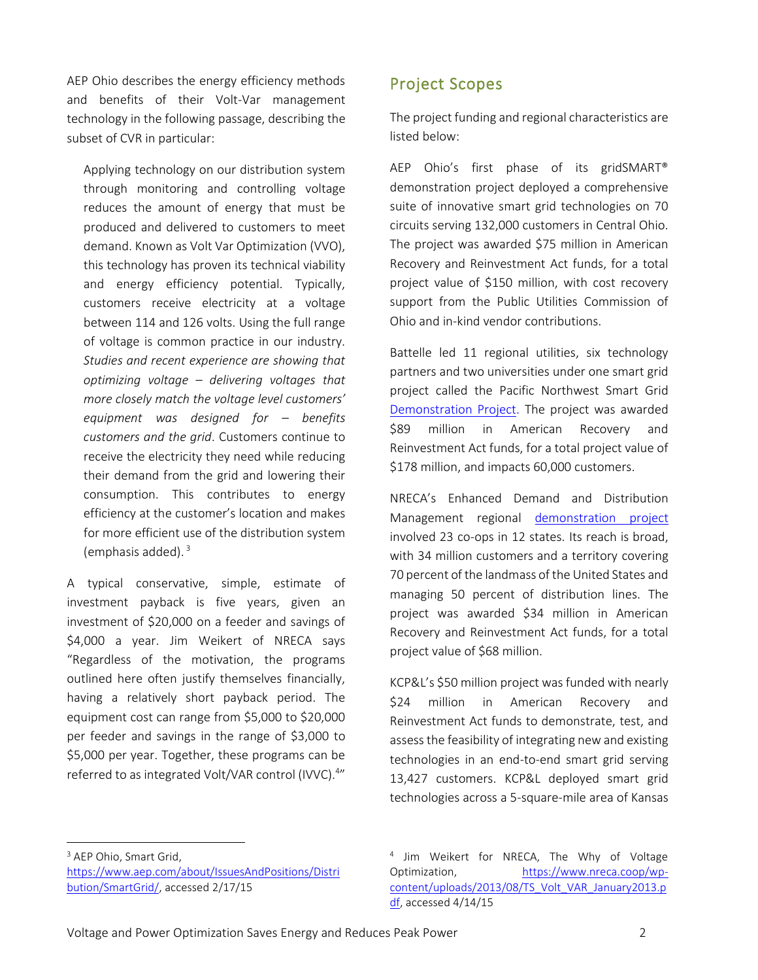AEP Ohio describes the energy efficiency methods and benefits of their Volt-Var management technology in the following passage, describing the subset of CVR in particular:

Applying technology on our distribution system through monitoring and controlling voltage reduces the amount of energy that must be produced and delivered to customers to meet demand. Known as Volt Var Optimization (VVO), this technology has proven its technical viability and energy efficiency potential. Typically, customers receive electricity at a voltage between 114 and 126 volts. Using the full range of voltage is common practice in our industry. *Studies and recent experience are showing that optimizing voltage – delivering voltages that more closely match the voltage level customers' equipment was designed for – benefits customers and the grid*. Customers continue to receive the electricity they need while reducing their demand from the grid and lowering their consumption. This contributes to energy efficiency at the customer's location and makes for more efficient use of the distribution system (emphasis added). 3

A typical conservative, simple, estimate of investment payback is five years, given an investment of \$20,000 on a feeder and savings of \$4,000 a year. Jim Weikert of NRECA says "Regardless of the motivation, the programs outlined here often justify themselves financially, having a relatively short payback period. The equipment cost can range from \$5,000 to \$20,000 per feeder and savings in the range of \$3,000 to \$5,000 per year. Together, these programs can be referred to as integrated Volt/VAR control (IVVC).<sup>4</sup>"

#### Project Scopes

The project funding and regional characteristics are listed below:

AEP Ohio's first phase of its gridSMART® demonstration project deployed a comprehensive suite of innovative smart grid technologies on 70 circuits serving 132,000 customers in Central Ohio. The project was awarded \$75 million in American Recovery and Reinvestment Act funds, for a total project value of \$150 million, with cost recovery support from the Public Utilities Commission of Ohio and in-kind vendor contributions.

Battelle led 11 regional utilities, six technology partners and two universities under one smart grid project called the Pacific Northwest Smart Grid [Demonstration Project.](http://www.pnwsmartgrid.org/about.asp) The project was awarded \$89 million in American Recovery and Reinvestment Act funds, for a total project value of \$178 million, and impacts 60,000 customers.

NRECA's Enhanced Demand and Distribution Management regional [demonstration project](https://www.smartgrid.gov/project/national_rural_electric_cooperative_association_enhanced_demand_and_distribution_management) involved 23 co-ops in 12 states. Its reach is broad, with 34 million customers and a territory covering 70 percent of the landmass of the United States and managing 50 percent of distribution lines. The project was awarded \$34 million in American Recovery and Reinvestment Act funds, for a total project value of \$68 million.

KCP&L's \$50 million project was funded with nearly \$24 million in American Recovery and Reinvestment Act funds to demonstrate, test, and assess the feasibility of integrating new and existing technologies in an end-to-end smart grid serving 13,427 customers. KCP&L deployed smart grid technologies across a 5-square-mile area of Kansas

<sup>3</sup> AEP Ohio, Smart Grid,

l

[https://www.aep.com/about/IssuesAndPositions/Distri](https://www.aep.com/about/IssuesAndPositions/Distribution/SmartGrid/) [bution/SmartGrid/,](https://www.aep.com/about/IssuesAndPositions/Distribution/SmartGrid/) accessed 2/17/15

<sup>&</sup>lt;sup>4</sup> Jim Weikert for NRECA, The Why of Voltage Optimization, [https://www.nreca.coop/wp](https://www.nreca.coop/wp-content/uploads/2013/08/TS_Volt_VAR_January2013.pdf)[content/uploads/2013/08/TS\\_Volt\\_VAR\\_January2013.p](https://www.nreca.coop/wp-content/uploads/2013/08/TS_Volt_VAR_January2013.pdf) [df,](https://www.nreca.coop/wp-content/uploads/2013/08/TS_Volt_VAR_January2013.pdf) accessed 4/14/15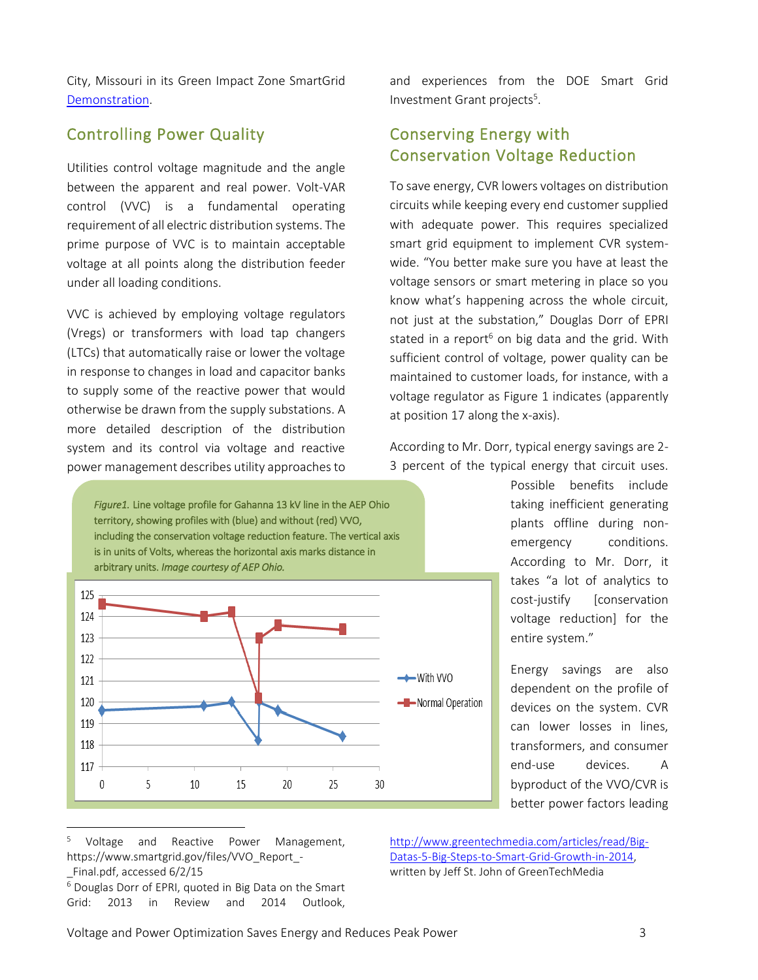City, Missouri in its Green Impact Zone SmartGrid [Demonstration.](http://www.kcplsmartgrid.com/)

#### Controlling Power Quality

Utilities control voltage magnitude and the angle between the apparent and real power. Volt-VAR control (VVC) is a fundamental operating requirement of all electric distribution systems. The prime purpose of VVC is to maintain acceptable voltage at all points along the distribution feeder under all loading conditions.

VVC is achieved by employing voltage regulators (Vregs) or transformers with load tap changers (LTCs) that automatically raise or lower the voltage in response to changes in load and capacitor banks to supply some of the reactive power that would otherwise be drawn from the supply substations. A more detailed description of the distribution system and its control via voltage and reactive power management describes utility approaches to

and experiences from the DOE Smart Grid Investment Grant projects<sup>5</sup>.

## Conserving Energy with Conservation Voltage Reduction

To save energy, CVR lowers voltages on distribution circuits while keeping every end customer supplied with adequate power. This requires specialized smart grid equipment to implement CVR systemwide. "You better make sure you have at least the voltage sensors or smart metering in place so you know what's happening across the whole circuit, not just at the substation," Douglas Dorr of EPRI stated in a report<sup>6</sup> on big data and the grid. With sufficient control of voltage, power quality can be maintained to customer loads, for instance, with a voltage regulator as Figure 1 indicates (apparently at position 17 along the x-axis).

According to Mr. Dorr, typical energy savings are 2- 3 percent of the typical energy that circuit uses.

*Figure1.* Line voltage profile for Gahanna 13 kV line in the AEP Ohio territory, showing profiles with (blue) and without (red) VVO, including the conservation voltage reduction feature. The vertical axis is in units of Volts, whereas the horizontal axis marks distance in arbitrary units. *Image courtesy of AEP Ohio.* 125 124 123



Possible benefits include taking inefficient generating plants offline during nonemergency conditions. According to Mr. Dorr, it takes "a lot of analytics to cost-justify [conservation voltage reduction] for the entire system."

Energy savings are also dependent on the profile of devices on the system. CVR can lower losses in lines, transformers, and consumer end-use devices. A byproduct of the VVO/CVR is better power factors leading

 $\overline{\phantom{a}}$ 

[http://www.greentechmedia.com/articles/read/Big-](http://www.greentechmedia.com/articles/read/Big-Datas-5-Big-Steps-to-Smart-Grid-Growth-in-2014)[Datas-5-Big-Steps-to-Smart-Grid-Growth-in-2014,](http://www.greentechmedia.com/articles/read/Big-Datas-5-Big-Steps-to-Smart-Grid-Growth-in-2014) written by Jeff St. John of GreenTechMedia

Voltage and Reactive Power Management, https://www.smartgrid.gov/files/VVO\_Report\_- \_Final.pdf, accessed 6/2/15

<sup>6</sup> Douglas Dorr of EPRI, quoted in Big Data on the Smart Grid: 2013 in Review and 2014 Outlook,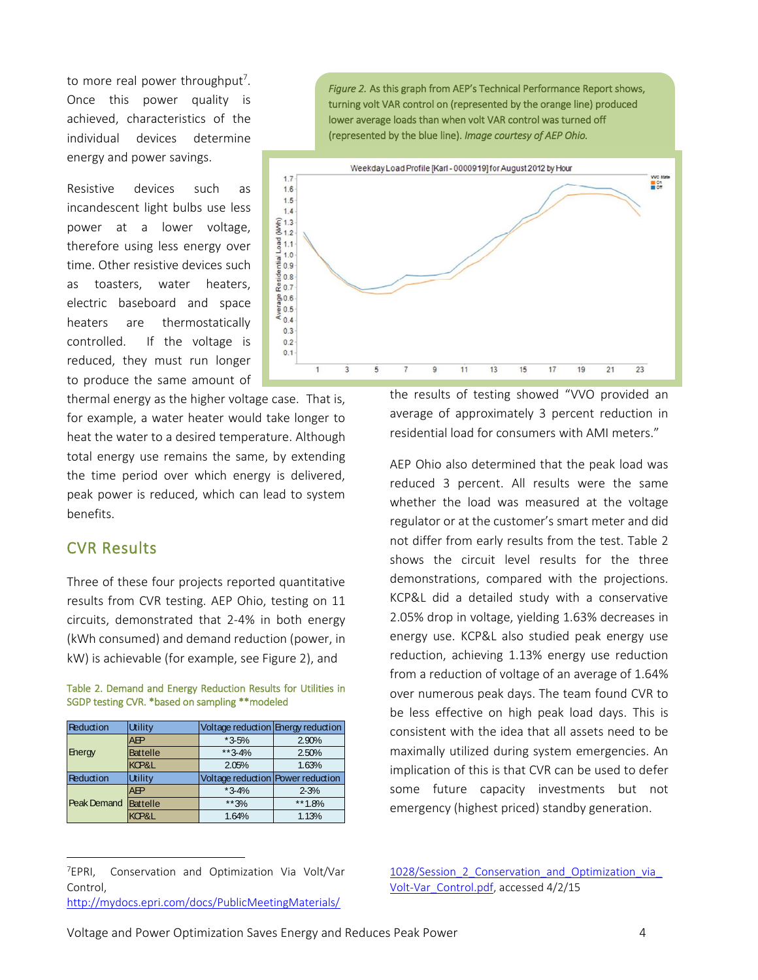to more real power throughput<sup>7</sup>. Once this power quality is achieved, characteristics of the individual devices determine energy and power savings.

Resistive devices such as incandescent light bulbs use less power at a lower voltage, therefore using less energy over time. Other resistive devices such as toasters, water heaters, electric baseboard and space heaters are thermostatically controlled. If the voltage is reduced, they must run longer to produce the same amount of

thermal energy as the higher voltage case. That is, for example, a water heater would take longer to heat the water to a desired temperature. Although total energy use remains the same, by extending the time period over which energy is delivered, peak power is reduced, which can lead to system benefits.

#### CVR Results

 $\overline{a}$ 

Three of these four projects reported quantitative results from CVR testing. AEP Ohio, testing on 11 circuits, demonstrated that 2-4% in both energy (kWh consumed) and demand reduction (power, in kW) is achievable (for example, see Figure 2), and

|  |  |  | Table 2. Demand and Energy Reduction Results for Utilities in |  |  |  |
|--|--|--|---------------------------------------------------------------|--|--|--|
|  |  |  | SGDP testing CVR. *based on sampling **modeled                |  |  |  |

| <b>Reduction</b> | <b>Utility</b>  | Voltage reduction Energy reduction |            |
|------------------|-----------------|------------------------------------|------------|
|                  | AEP             | $*3-5%$                            | 2.90%      |
| Energy           | <b>Battelle</b> | **3-4%                             | 2.50%      |
|                  | KCP&L           | 2.05%                              | 1.63%      |
|                  |                 |                                    |            |
| Reduction        | <b>Utility</b>  | Voltage reduction Power reduction  |            |
|                  | AFP             | $*3-4%$                            | $2 - 3%$   |
| Peak Demand      | <b>Battelle</b> | $**3%$                             | ** $1.8\%$ |

*Figure 2.* As this graph from AEP's Technical Performance Report shows, turning volt VAR control on (represented by the orange line) produced lower average loads than when volt VAR control was turned off (represented by the blue line). *Image courtesy of AEP Ohio.*



the results of testing showed "VVO provided an average of approximately 3 percent reduction in residential load for consumers with AMI meters."

AEP Ohio also determined that the peak load was reduced 3 percent. All results were the same whether the load was measured at the voltage regulator or at the customer's smart meter and did not differ from early results from the test. Table 2 shows the circuit level results for the three demonstrations, compared with the projections. KCP&L did a detailed study with a conservative 2.05% drop in voltage, yielding 1.63% decreases in energy use. KCP&L also studied peak energy use reduction, achieving 1.13% energy use reduction from a reduction of voltage of an average of 1.64% over numerous peak days. The team found CVR to be less effective on high peak load days. This is consistent with the idea that all assets need to be maximally utilized during system emergencies. An implication of this is that CVR can be used to defer some future capacity investments but not emergency (highest priced) standby generation.

1028/Session 2 Conservation and Optimization via [Volt-Var\\_Control.pdf,](http://mydocs.epri.com/docs/PublicMeetingMaterials/1028/Session_2_Conservation_and_Optimization_via_Volt-Var_Control.pdf) accessed 4/2/15

Voltage and Power Optimization Saves Energy and Reduces Peak Power 4

<sup>&</sup>lt;sup>7</sup>EPRI, Conservation and Optimization Via Volt/Var Control,

[http://mydocs.epri.com/docs/PublicMeetingMaterials/](http://mydocs.epri.com/docs/PublicMeetingMaterials/1028/Session_2_Conservation_and_Optimization_via_Volt-Var_Control.pdf)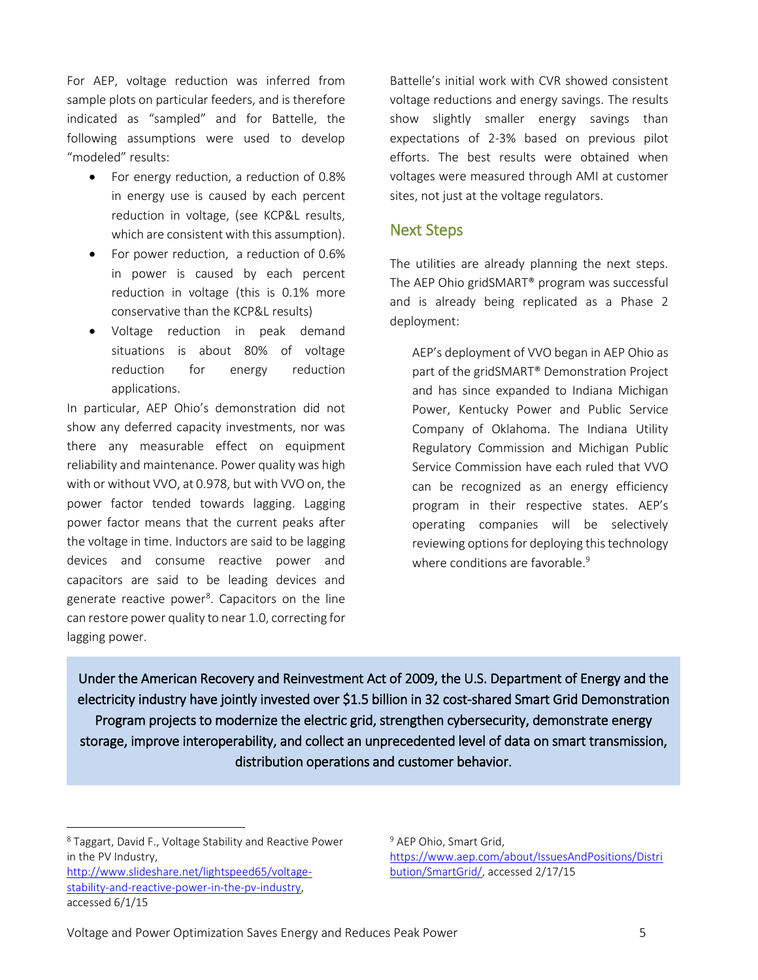For AEP, voltage reduction was inferred from sample plots on particular feeders, and is therefore indicated as "sampled" and for Battelle, the following assumptions were used to develop "modeled" results:

- For energy reduction, a reduction of 0.8% in energy use is caused by each percent reduction in voltage, (see KCP&L results, which are consistent with this assumption).
- For power reduction, a reduction of 0.6% in power is caused by each percent reduction in voltage (this is 0.1% more conservative than the KCP&L results)
- Voltage reduction in peak demand situations is about 80% of voltage reduction for energy reduction applications.

In particular, AEP Ohio's demonstration did not show any deferred capacity investments, nor was there any measurable effect on equipment reliability and maintenance. Power quality was high with or without VVO, at 0.978, but with VVO on, the power factor tended towards lagging. Lagging power factor means that the current peaks after the voltage in time. Inductors are said to be lagging devices and consume reactive power and capacitors are said to be leading devices and generate reactive power<sup>8</sup>. Capacitors on the line can restore power quality to near 1.0, correcting for lagging power.

Battelle's initial work with CVR showed consistent voltage reductions and energy savings. The results show slightly smaller energy savings than expectations of 2-3% based on previous pilot efforts. The best results were obtained when voltages were measured through AMI at customer sites, not just at the voltage regulators.

#### Next Steps

The utilities are already planning the next steps. The AEP Ohio gridSMART® program was successful and is already being replicated as a Phase 2 deployment:

AEP's deployment of VVO began in AEP Ohio as part of the gridSMART® Demonstration Project and has since expanded to Indiana Michigan Power, Kentucky Power and Public Service Company of Oklahoma. The Indiana Utility Regulatory Commission and Michigan Public Service Commission have each ruled that VVO can be recognized as an energy efficiency program in their respective states. AEP's operating companies will be selectively reviewing options for deploying this technology where conditions are favorable.<sup>9</sup>

Under the American Recovery and Reinvestment Act of 2009, the U.S. Department of Energy and the electricity industry have jointly invested over \$1.5 billion in 32 cost-shared Smart Grid Demonstration Program projects to modernize the electric grid, strengthen cybersecurity, demonstrate energy storage, improve interoperability, and collect an unprecedented level of data on smart transmission, distribution operations and customer behavior.

<sup>8</sup> Taggart, David F., Voltage Stability and Reactive Power in the PV Industry,

[http://www.slideshare.net/lightspeed65/voltage](http://www.slideshare.net/lightspeed65/voltage-stability-and-reactive-power-in-the-pv-industry)[stability-and-reactive-power-in-the-pv-industry,](http://www.slideshare.net/lightspeed65/voltage-stability-and-reactive-power-in-the-pv-industry) accessed 6/1/15

 $\overline{\phantom{a}}$ 

<sup>9</sup> AEP Ohio, Smart Grid, [https://www.aep.com/about/IssuesAndPositions/Distri](https://www.aep.com/about/IssuesAndPositions/Distribution/SmartGrid/) [bution/SmartGrid/,](https://www.aep.com/about/IssuesAndPositions/Distribution/SmartGrid/) accessed 2/17/15